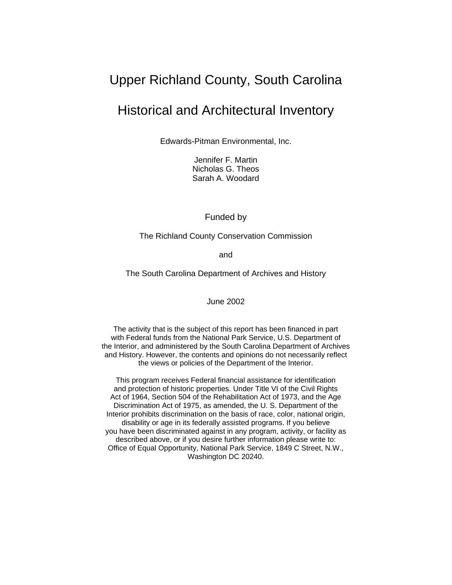# Upper Richland County, South Carolina

# Historical and Architectural Inventory

Edwards-Pitman Environmental, Inc.

Jennifer F. Martin Nicholas G. Theos Sarah A. Woodard

Funded by

The Richland County Conservation Commission

and

The South Carolina Department of Archives and History

June 2002

The activity that is the subject of this report has been financed in part with Federal funds from the National Park Service, U.S. Department of the Interior, and administered by the South Carolina Department of Archives and History. However, the contents and opinions do not necessarily reflect the views or policies of the Department of the Interior.

This program receives Federal financial assistance for identification and protection of historic properties. Under Title VI of the Civil Rights Act of 1964, Section 504 of the Rehabilitation Act of 1973, and the Age Discrimination Act of 1975, as amended, the U. S. Department of the Interior prohibits discrimination on the basis of race, color, national origin, disability or age in its federally assisted programs. If you believe you have been discriminated against in any program, activity, or facility as described above, or if you desire further information please write to: Office of Equal Opportunity, National Park Service, 1849 C Street, N.W., Washington DC 20240.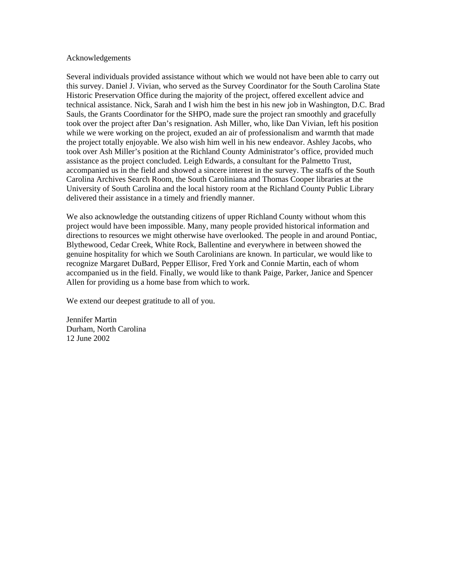#### Acknowledgements

Several individuals provided assistance without which we would not have been able to carry out this survey. Daniel J. Vivian, who served as the Survey Coordinator for the South Carolina State Historic Preservation Office during the majority of the project, offered excellent advice and technical assistance. Nick, Sarah and I wish him the best in his new job in Washington, D.C. Brad Sauls, the Grants Coordinator for the SHPO, made sure the project ran smoothly and gracefully took over the project after Dan's resignation. Ash Miller, who, like Dan Vivian, left his position while we were working on the project, exuded an air of professionalism and warmth that made the project totally enjoyable. We also wish him well in his new endeavor. Ashley Jacobs, who took over Ash Miller's position at the Richland County Administrator's office, provided much assistance as the project concluded. Leigh Edwards, a consultant for the Palmetto Trust, accompanied us in the field and showed a sincere interest in the survey. The staffs of the South Carolina Archives Search Room, the South Caroliniana and Thomas Cooper libraries at the University of South Carolina and the local history room at the Richland County Public Library delivered their assistance in a timely and friendly manner.

We also acknowledge the outstanding citizens of upper Richland County without whom this project would have been impossible. Many, many people provided historical information and directions to resources we might otherwise have overlooked. The people in and around Pontiac, Blythewood, Cedar Creek, White Rock, Ballentine and everywhere in between showed the genuine hospitality for which we South Carolinians are known. In particular, we would like to recognize Margaret DuBard, Pepper Ellisor, Fred York and Connie Martin, each of whom accompanied us in the field. Finally, we would like to thank Paige, Parker, Janice and Spencer Allen for providing us a home base from which to work.

We extend our deepest gratitude to all of you.

Jennifer Martin Durham, North Carolina 12 June 2002